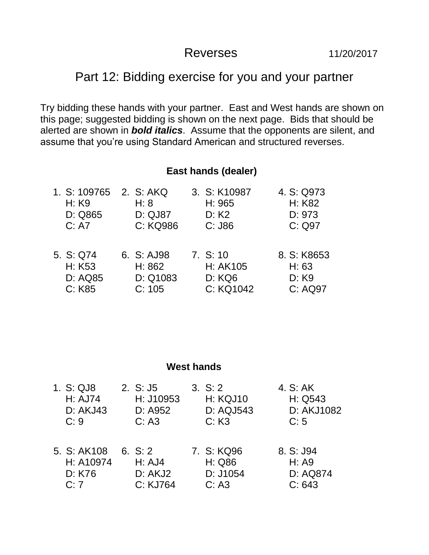## Reverses 11/20/2017

## Part 12: Bidding exercise for you and your partner

Try bidding these hands with your partner. East and West hands are shown on this page; suggested bidding is shown on the next page. Bids that should be alerted are shown in *bold italics*. Assume that the opponents are silent, and assume that you're using Standard American and structured reverses.

## **East hands (dealer)**

| 1. S: 109765<br>H: K9<br>D: Q865<br>C: A7       | 2. S: AKQ<br>H: 8<br><b>D: QJ87</b><br>C: KQ986 | 3. S: K10987<br>H: 965<br>D: K2<br>$C:$ J86 | 4. S: Q973<br>H: K82<br>D: 973<br>C: Q97 |
|-------------------------------------------------|-------------------------------------------------|---------------------------------------------|------------------------------------------|
| 5. S: Q74<br>H: K53<br><b>D: AQ85</b><br>C: K85 | 6. S: AJ98<br>H: 862<br>D: Q1083<br>C: 105      | 7. S: 10<br>H: AK105<br>D: KQ6<br>C: KQ1042 | 8. S: K8653<br>H: 63<br>D: K9<br>C: AQ97 |

|  | <b>West hands</b> |
|--|-------------------|
|--|-------------------|

| 1. S: QJ8<br><b>H: AJ74</b><br><b>D: AKJ43</b><br>C:9 | 2. S: J5<br>H: J10953<br>D: A952<br>C: A3  | 3. S: 2<br><b>H: KQJ10</b><br>D: AQJ543<br>C: K3 | 4. S: AK<br>H: Q543<br>D: AKJ1082<br>C: 5 |
|-------------------------------------------------------|--------------------------------------------|--------------------------------------------------|-------------------------------------------|
| 5. S: AK108<br>H: A10974<br>D: K76<br>C:7             | 6. $S: 2$<br>H: AJ4<br>D: AKJ2<br>C: KJ764 | 7. S: KQ96<br>H: Q86<br>D: J1054<br>C: A3        | 8. S: J94<br>H: A9<br>D: AQ874<br>C: 643  |